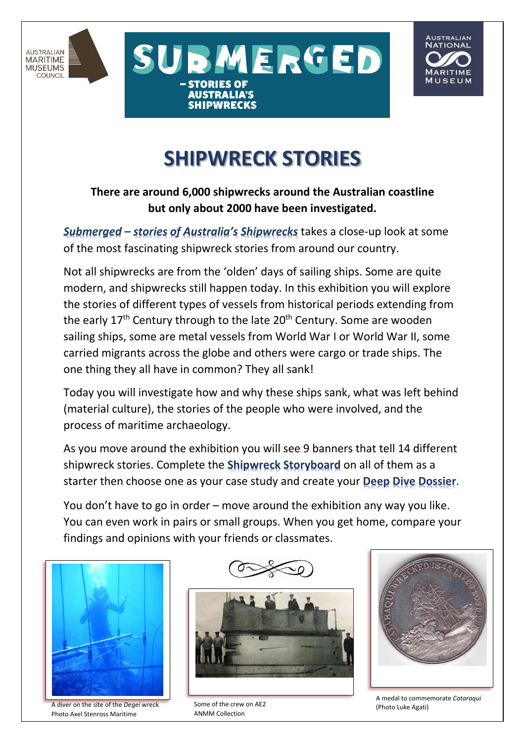





## **SHIPWRECK STORIES**

## **There are around 6,000 shipwrecks around the Australian coastline but only about 2000 have been investigated.**

*Submerged – stories of Australia's Shipwrecks* takes a close-up look at some of the most fascinating shipwreck stories from around our country.

Not all shipwrecks are from the 'olden' days of sailing ships. Some are quite modern, and shipwrecks still happen today. In this exhibition you will explore the stories of different types of vessels from historical periods extending from the early  $17<sup>th</sup>$  Century through to the late  $20<sup>th</sup>$  Century. Some are wooden sailing ships, some are metal vessels from World War I or World War II, some carried migrants across the globe and others were cargo or trade ships. The one thing they all have in common? They all sank!

Today you will investigate how and why these ships sank, what was left behind (material culture), the stories of the people who were involved, and the process of maritime archaeology.

As you move around the exhibition you will see 9 banners that tell 14 different shipwreck stories. Complete the **Shipwreck Storyboard** on all of them as a starter then choose one as your case study and create your **Deep Dive Dossier**.

You don't have to go in order – move around the exhibition any way you like. You can even work in pairs or small groups. When you get home, compare your findings and opinions with your friends or classmates.



A diver on the site of the *Degei* wreck Photo Axel Stenross Maritime

Museum



Some of the crew on AE2 ANMM Collection



A medal to commemorate *Cataraqui* (Photo Luke Agati)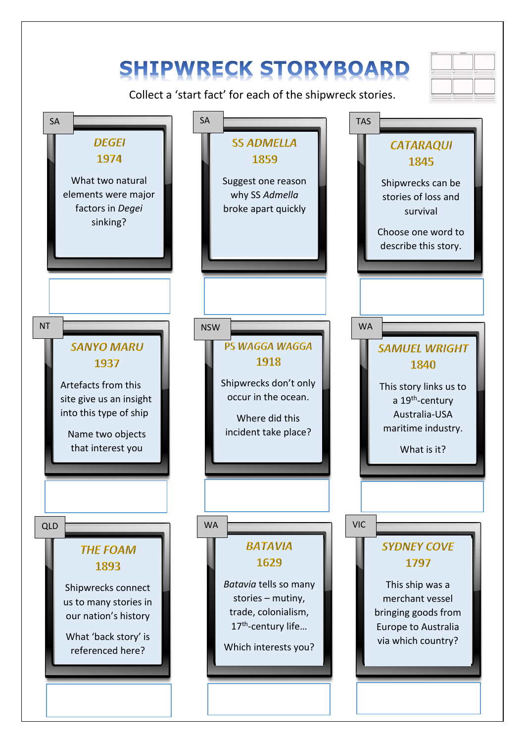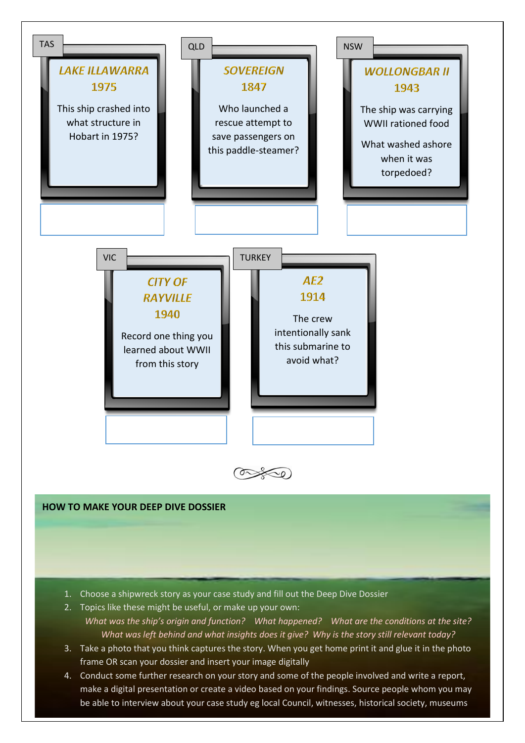